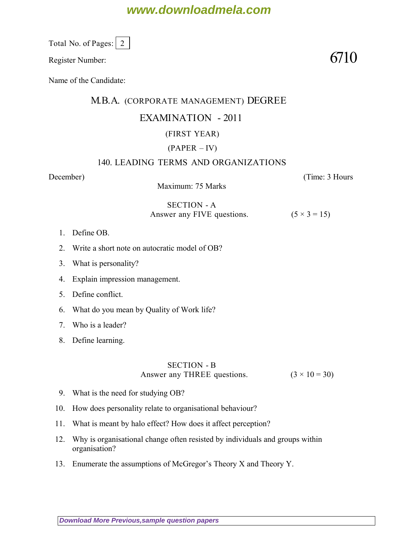# **www.downloadmela.com**

Total No. of Pages:  $\vert 2 \vert$ 

Register Number:  $6710$ 

Name of the Candidate:

#### M.B.A. (CORPORATE MANAGEMENT) DEGREE

### EXAMINATION - 2011

## (FIRST YEAR)

### (PAPER – IV)

#### 140. LEADING TERMS AND ORGANIZATIONS

Maximum: 75 Marks

*December*) (*Time: 3 Hours*

#### SECTION - A Answer any FIVE questions.  $(5 \times 3 = 15)$

- 1. Define OB.
- 2. Write a short note on autocratic model of OB?
- 3. What is personality?
- 4. Explain impression management.
- 5. Define conflict.
- 6. What do you mean by Quality of Work life?
- 7. Who is a leader?
- 8. Define learning.

### SECTION - B Answer any THREE questions.  $(3 \times 10 = 30)$

- 9. What is the need for studying OB?
- 10. How does personality relate to organisational behaviour?
- 11. What is meant by halo effect? How does it affect perception?
- 12. Why is organisational change often resisted by individuals and groups within organisation?
- 13. Enumerate the assumptions of McGregor's Theory X and Theory Y.